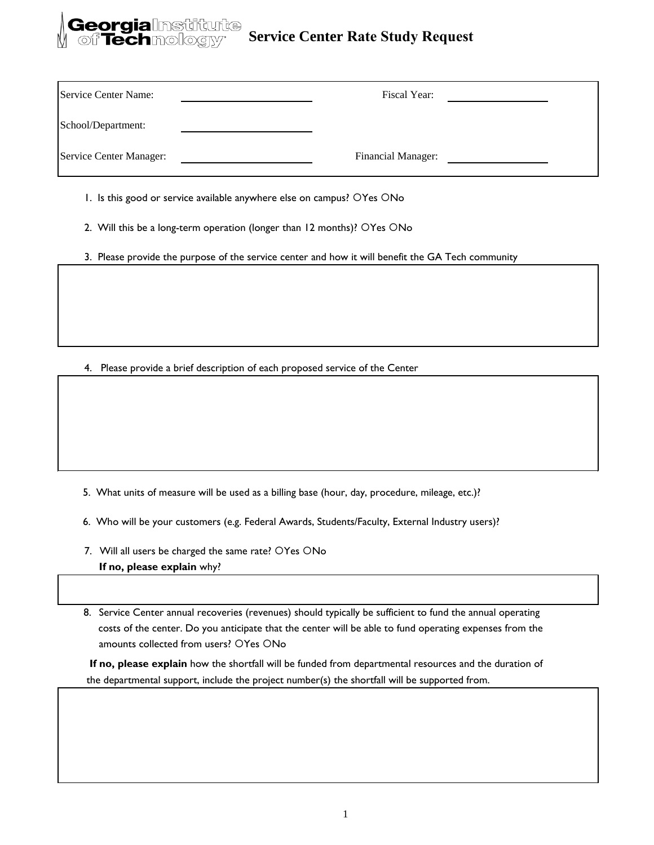## **Service Center Rate Study Request**

| Service Center Name:    | Fiscal Year:              |  |
|-------------------------|---------------------------|--|
| School/Department:      |                           |  |
| Service Center Manager: | <b>Financial Manager:</b> |  |

1. Is this good or service available anywhere else on campus? OYes ONo

ieorgialmstitute<br>of Technology<sup>,</sup>

- 2. Will this be a long-term operation (longer than 12 months)? OYes ONo
- 3. Please provide the purpose of the service center and how it will benefit the GA Tech community

4. Please provide a brief description of each proposed service of the Center

- 5. What units of measure will be used as a billing base (hour, day, procedure, mileage, etc.)?
- 6. Who will be your customers (e.g. Federal Awards, Students/Faculty, External Industry users)?
- 7. Will all users be charged the same rate? OYes ONo **If no, please explain** why?

8. Service Center annual recoveries (revenues) should typically be sufficient to fund the annual operating costs of the center. Do you anticipate that the center will be able to fund operating expenses from the amounts collected from users? OYes ONo

 **If no, please explain** how the shortfall will be funded from departmental resources and the duration of the departmental support, include the project number(s) the shortfall will be supported from.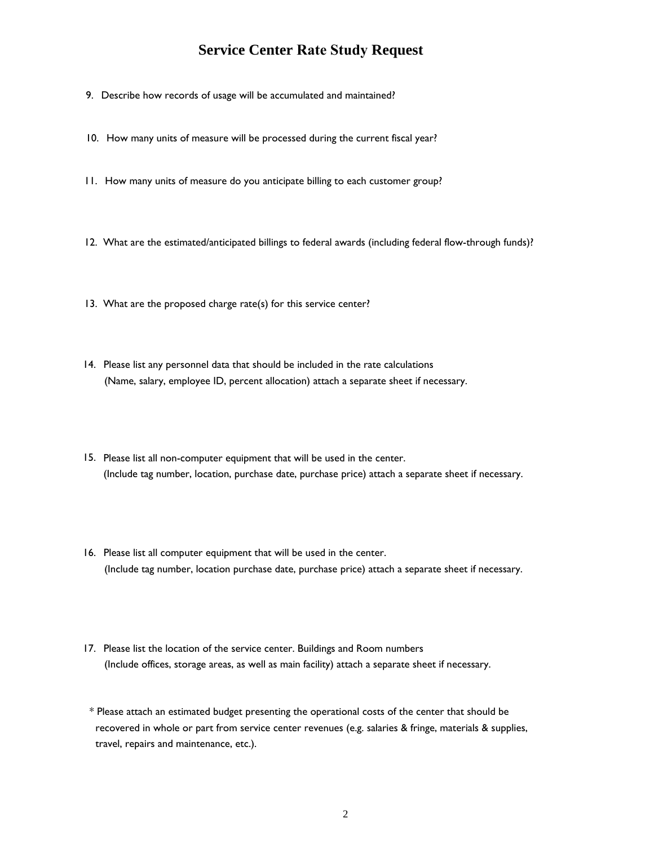## **Service Center Rate Study Request**

- 9. Describe how records of usage will be accumulated and maintained?
- 10. How many units of measure will be processed during the current fiscal year?
- 11. How many units of measure do you anticipate billing to each customer group?
- 12. What are the estimated/anticipated billings to federal awards (including federal flow-through funds)?
- 13. What are the proposed charge rate(s) for this service center?
- 14. Please list any personnel data that should be included in the rate calculations (Name, salary, employee ID, percent allocation) attach a separate sheet if necessary.
- 15. Please list all non-computer equipment that will be used in the center. (Include tag number, location, purchase date, purchase price) attach a separate sheet if necessary.
- 16. Please list all computer equipment that will be used in the center. (Include tag number, location purchase date, purchase price) attach a separate sheet if necessary.
- 17. Please list the location of the service center. Buildings and Room numbers (Include offices, storage areas, as well as main facility) attach a separate sheet if necessary.
- \* Please attach an estimated budget presenting the operational costs of the center that should be recovered in whole or part from service center revenues (e.g. salaries & fringe, materials & supplies, travel, repairs and maintenance, etc.).